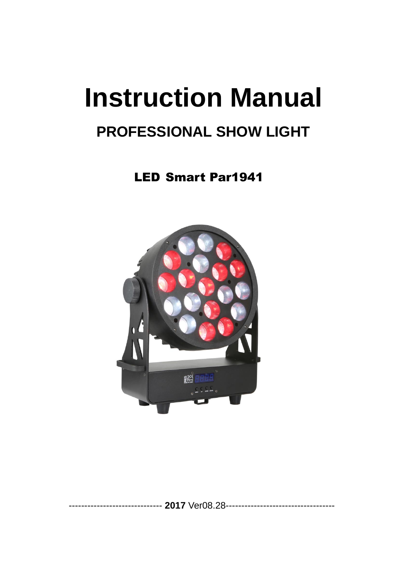# **Instruction Manual**

# **PROFESSIONAL SHOW LIGHT**

LED Smart Par1941

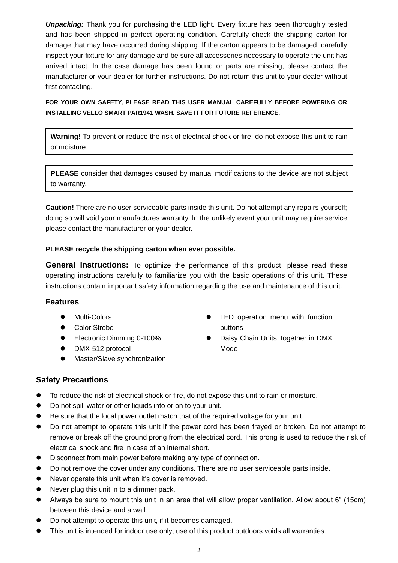**Unpacking:** Thank you for purchasing the LED light. Every fixture has been thoroughly tested and has been shipped in perfect operating condition. Carefully check the shipping carton for damage that may have occurred during shipping. If the carton appears to be damaged, carefully inspect your fixture for any damage and be sure all accessories necessary to operate the unit has arrived intact. In the case damage has been found or parts are missing, please contact the manufacturer or your dealer for further instructions. Do not return this unit to your dealer without first contacting.

#### **FOR YOUR OWN SAFETY, PLEASE READ THIS USER MANUAL CAREFULLY BEFORE POWERING OR INSTALLING VELLO SMART PAR1941 WASH. SAVE IT FOR FUTURE REFERENCE.**

**Warning!** To prevent or reduce the risk of electrical shock or fire, do not expose this unit to rain or moisture.

**PLEASE** consider that damages caused by manual modifications to the device are not subject to warranty.

**Caution!** There are no user serviceable parts inside this unit. Do not attempt any repairs yourself; doing so will void your manufactures warranty. In the unlikely event your unit may require service please contact the manufacturer or your dealer.

#### **PLEASE recycle the shipping carton when ever possible.**

**General Instructions:** To optimize the performance of this product, please read these operating instructions carefully to familiarize you with the basic operations of this unit. These instructions contain important safety information regarding the use and maintenance of this unit.

#### **Features**

- Multi-Colors
- Color Strobe
- Electronic Dimming 0-100%
- DMX-512 protocol
- ⚫ Master/Slave synchronization
- ⚫ LED operation menu with function buttons
- Daisy Chain Units Together in DMX Mode

#### **Safety Precautions**

- To reduce the risk of electrical shock or fire, do not expose this unit to rain or moisture.
- Do not spill water or other liquids into or on to your unit.
- Be sure that the local power outlet match that of the required voltage for your unit.
- Do not attempt to operate this unit if the power cord has been frayed or broken. Do not attempt to remove or break off the ground prong from the electrical cord. This prong is used to reduce the risk of electrical shock and fire in case of an internal short.
- ⚫ Disconnect from main power before making any type of connection.
- ⚫ Do not remove the cover under any conditions. There are no user serviceable parts inside.
- Never operate this unit when it's cover is removed.
- Never plug this unit in to a dimmer pack.
- ⚫ Always be sure to mount this unit in an area that will allow proper ventilation. Allow about 6" (15cm) between this device and a wall.
- Do not attempt to operate this unit, if it becomes damaged.
- ⚫ This unit is intended for indoor use only; use of this product outdoors voids all warranties.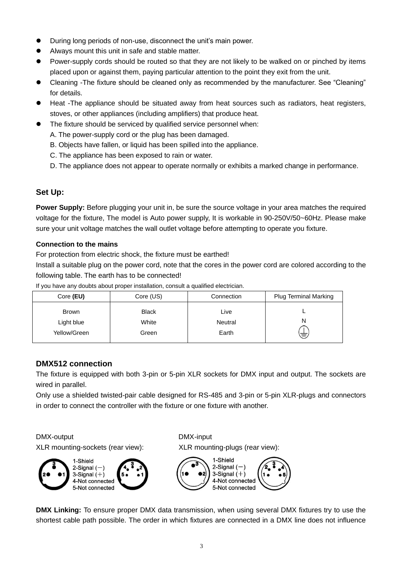- ⚫ During long periods of non-use, disconnect the unit's main power.
- ⚫ Always mount this unit in safe and stable matter.
- Power-supply cords should be routed so that they are not likely to be walked on or pinched by items placed upon or against them, paying particular attention to the point they exit from the unit.
- ⚫ Cleaning -The fixture should be cleaned only as recommended by the manufacturer. See "Cleaning" for details.
- Heat -The appliance should be situated away from heat sources such as radiators, heat registers, stoves, or other appliances (including amplifiers) that produce heat.
- The fixture should be serviced by qualified service personnel when:
	- A. The power-supply cord or the plug has been damaged.
	- B. Objects have fallen, or liquid has been spilled into the appliance.
	- C. The appliance has been exposed to rain or water.
	- D. The appliance does not appear to operate normally or exhibits a marked change in performance.

#### **Set Up:**

**Power Supply:** Before plugging your unit in, be sure the source voltage in your area matches the required voltage for the fixture, The model is Auto power supply, It is workable in 90-250V/50~60Hz. Please make sure your unit voltage matches the wall outlet voltage before attempting to operate you fixture.

#### **Connection to the mains**

For protection from electric shock, the fixture must be earthed!

Install a suitable plug on the power cord, note that the cores in the power cord are colored according to the following table. The earth has to be connected!

If you have any doubts about proper installation, consult a qualified electrician.

| Core (EU)                           | Core (US)                      | Connection               | <b>Plug Terminal Marking</b> |
|-------------------------------------|--------------------------------|--------------------------|------------------------------|
| Brown<br>Light blue<br>Yellow/Green | <b>Black</b><br>White<br>Green | Live<br>Neutral<br>Earth | N<br>声                       |

#### **DMX512 connection**

The fixture is equipped with both 3-pin or 5-pin XLR sockets for DMX input and output. The sockets are wired in parallel.

Only use a shielded twisted-pair cable designed for RS-485 and 3-pin or 5-pin XLR-plugs and connectors in order to connect the controller with the fixture or one fixture with another.

#### DMX-output DMX-input

XLR mounting-sockets (rear view): XLR mounting-plugs (rear view):

1-Shield 2-Signal (-3-Signal  $(+)$ 4-Not connected 5-Not connected



**DMX Linking:** To ensure proper DMX data transmission, when using several DMX fixtures try to use the shortest cable path possible. The order in which fixtures are connected in a DMX line does not influence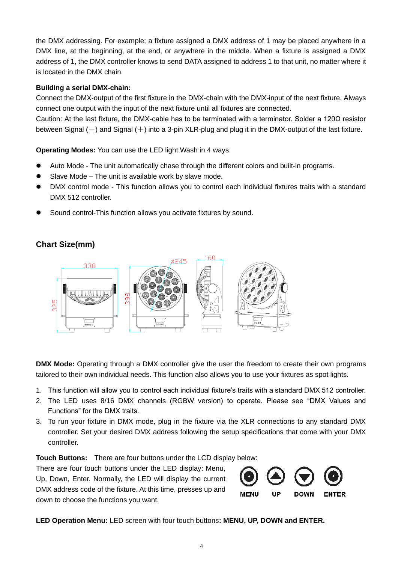the DMX addressing. For example; a fixture assigned a DMX address of 1 may be placed anywhere in a DMX line, at the beginning, at the end, or anywhere in the middle. When a fixture is assigned a DMX address of 1, the DMX controller knows to send DATA assigned to address 1 to that unit, no matter where it is located in the DMX chain.

#### **Building a serial DMX-chain:**

Connect the DMX-output of the first fixture in the DMX-chain with the DMX-input of the next fixture. Always connect one output with the input of the next fixture until all fixtures are connected.

Caution: At the last fixture, the DMX-cable has to be terminated with a terminator. Solder a 120Ω resistor between Signal  $(-)$  and Signal  $(+)$  into a 3-pin XLR-plug and plug it in the DMX-output of the last fixture.

**Operating Modes:** You can use the LED light Wash in 4 ways:

- ⚫ Auto Mode The unit automatically chase through the different colors and built-in programs.
- Slave Mode The unit is available work by slave mode.
- ⚫ DMX control mode This function allows you to control each individual fixtures traits with a standard DMX 512 controller.
- ⚫ Sound control-This function allows you activate fixtures by sound.

## **Chart Size(mm)**



**DMX Mode:** Operating through a DMX controller give the user the freedom to create their own programs tailored to their own individual needs. This function also allows you to use your fixtures as spot lights.

- 1. This function will allow you to control each individual fixture's traits with a standard DMX 512 controller.
- 2. The LED uses 8/16 DMX channels (RGBW version) to operate. Please see "DMX Values and Functions" for the DMX traits.
- 3. To run your fixture in DMX mode, plug in the fixture via the XLR connections to any standard DMX controller. Set your desired DMX address following the setup specifications that come with your DMX controller.

**Touch Buttons:** There are four buttons under the LCD display below:

There are four touch buttons under the LED display: Menu, Up, Down, Enter. Normally, the LED will display the current DMX address code of the fixture. At this time, presses up and down to choose the functions you want.



**LED Operation Menu:** LED screen with four touch buttons**: MENU, UP, DOWN and ENTER.**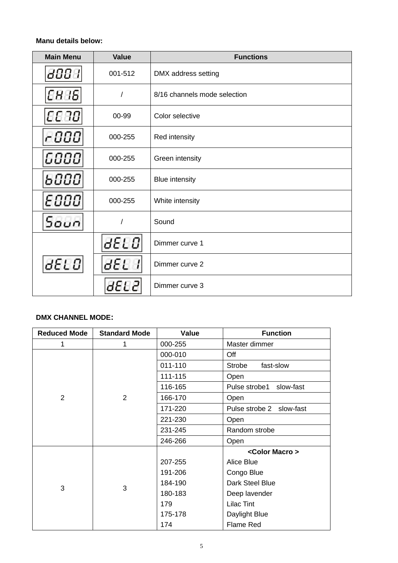#### **Manu details below:**

| <b>Main Menu</b> | <b>Value</b> | <b>Functions</b>             |  |
|------------------|--------------|------------------------------|--|
| 8888             | 001-512      | DMX address setting          |  |
| 8888             | $\prime$     | 8/16 channels mode selection |  |
| 8888             | 00-99        | Color selective              |  |
| -000             | 000-255      | Red intensity                |  |
| 6000             | 000-255      | Green intensity              |  |
| 6000             | 000-255      | <b>Blue intensity</b>        |  |
| E000             | 000-255      | White intensity              |  |
| Soun             | $\prime$     | Sound                        |  |
|                  | 8EL O        | Dimmer curve 1               |  |
| 8EL O            | dEL          | Dimmer curve 2               |  |
|                  | 8EL 2        | Dimmer curve 3               |  |

#### **DMX CHANNEL MODE:**

| <b>Reduced Mode</b> | <b>Standard Mode</b> | Value   | <b>Function</b>          |
|---------------------|----------------------|---------|--------------------------|
| 1                   | 1                    | 000-255 | Master dimmer            |
| 2                   | $\overline{2}$       | 000-010 | Off                      |
|                     |                      | 011-110 | Strobe<br>fast-slow      |
|                     |                      | 111-115 | Open                     |
|                     |                      | 116-165 | Pulse strobe1 slow-fast  |
|                     |                      | 166-170 | Open                     |
|                     |                      | 171-220 | Pulse strobe 2 slow-fast |
|                     |                      | 221-230 | Open                     |
|                     |                      | 231-245 | Random strobe            |
|                     |                      | 246-266 | Open                     |
| 3                   | 3                    |         | <color macro=""></color> |
|                     |                      | 207-255 | Alice Blue               |
|                     |                      | 191-206 | Congo Blue               |
|                     |                      | 184-190 | Dark Steel Blue          |
|                     |                      | 180-183 | Deep lavender            |
|                     |                      | 179     | <b>Lilac Tint</b>        |
|                     |                      | 175-178 | Daylight Blue            |
|                     |                      | 174     | <b>Flame Red</b>         |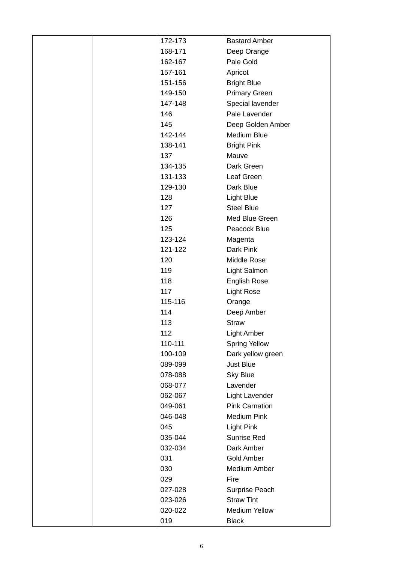| 172-173 | <b>Bastard Amber</b>  |
|---------|-----------------------|
| 168-171 | Deep Orange           |
| 162-167 | Pale Gold             |
| 157-161 | Apricot               |
| 151-156 | <b>Bright Blue</b>    |
| 149-150 | <b>Primary Green</b>  |
| 147-148 | Special lavender      |
| 146     | Pale Lavender         |
| 145     | Deep Golden Amber     |
| 142-144 | Medium Blue           |
| 138-141 | <b>Bright Pink</b>    |
| 137     | Mauve                 |
| 134-135 | Dark Green            |
| 131-133 | Leaf Green            |
| 129-130 | Dark Blue             |
| 128     | Light Blue            |
| 127     | <b>Steel Blue</b>     |
| 126     | Med Blue Green        |
| 125     | Peacock Blue          |
| 123-124 | Magenta               |
| 121-122 | Dark Pink             |
| 120     | Middle Rose           |
| 119     | Light Salmon          |
| 118     | <b>English Rose</b>   |
| 117     | <b>Light Rose</b>     |
| 115-116 | Orange                |
| 114     | Deep Amber            |
| 113     | <b>Straw</b>          |
| 112     | <b>Light Amber</b>    |
| 110-111 | <b>Spring Yellow</b>  |
| 100-109 | Dark yellow green     |
| 089-099 | Just Blue             |
| 078-088 | <b>Sky Blue</b>       |
| 068-077 | Lavender              |
| 062-067 | Light Lavender        |
| 049-061 | <b>Pink Carnation</b> |
| 046-048 | <b>Medium Pink</b>    |
| 045     | <b>Light Pink</b>     |
| 035-044 | Sunrise Red           |
| 032-034 | Dark Amber            |
| 031     | Gold Amber            |
| 030     | Medium Amber          |
| 029     | Fire                  |
| 027-028 | Surprise Peach        |
| 023-026 | <b>Straw Tint</b>     |
| 020-022 | <b>Medium Yellow</b>  |
| 019     | <b>Black</b>          |
|         |                       |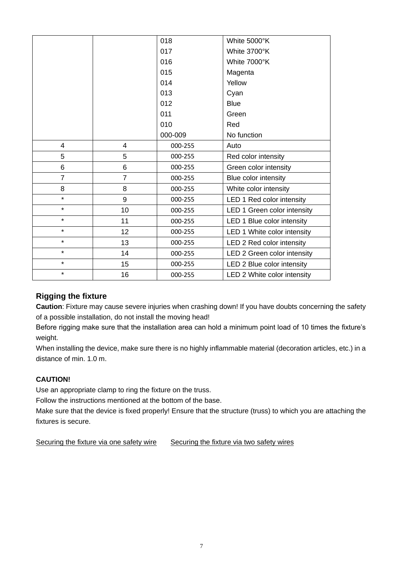|                |                 | 018     | White 5000°K                |
|----------------|-----------------|---------|-----------------------------|
|                |                 | 017     | White 3700°K                |
|                |                 | 016     | White 7000°K                |
|                |                 | 015     | Magenta                     |
|                |                 | 014     | Yellow                      |
|                |                 | 013     | Cyan                        |
|                |                 | 012     | <b>Blue</b>                 |
|                |                 | 011     | Green                       |
|                |                 | 010     | Red                         |
|                |                 | 000-009 | No function                 |
| 4              | 4               | 000-255 | Auto                        |
| 5              | 5               | 000-255 | Red color intensity         |
| 6              | 6               | 000-255 | Green color intensity       |
| $\overline{7}$ | $\overline{7}$  | 000-255 | Blue color intensity        |
| 8              | 8               | 000-255 | White color intensity       |
| $\star$        | 9               | 000-255 | LED 1 Red color intensity   |
| $\star$        | 10              | 000-255 | LED 1 Green color intensity |
| $\star$        | 11              | 000-255 | LED 1 Blue color intensity  |
| $\star$        | 12 <sub>2</sub> | 000-255 | LED 1 White color intensity |
| ¥              | 13              | 000-255 | LED 2 Red color intensity   |
| $\star$        | 14              | 000-255 | LED 2 Green color intensity |
| $\star$        | 15              | 000-255 | LED 2 Blue color intensity  |
| $\star$        | 16              | 000-255 | LED 2 White color intensity |

# **Rigging the fixture**

**Caution**: Fixture may cause severe injuries when crashing down! If you have doubts concerning the safety of a possible installation, do not install the moving head!

Before rigging make sure that the installation area can hold a minimum point load of 10 times the fixture's weight.

When installing the device, make sure there is no highly inflammable material (decoration articles, etc.) in a distance of min. 1.0 m.

#### **CAUTION!**

Use an appropriate clamp to ring the fixture on the truss.

Follow the instructions mentioned at the bottom of the base.

Make sure that the device is fixed properly! Ensure that the structure (truss) to which you are attaching the fixtures is secure.

Securing the fixture via one safety wire Securing the fixture via two safety wires